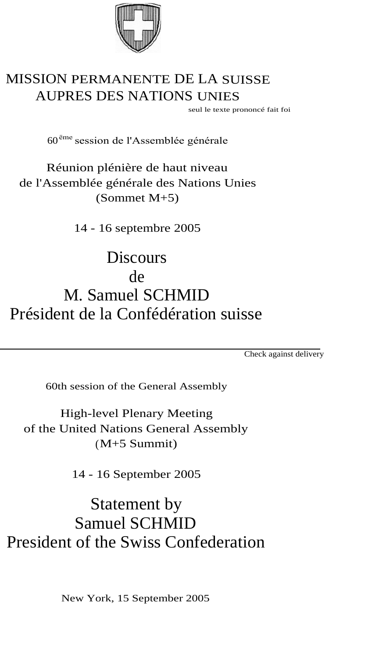

## MISSION PERMANENTE DE LA SUISSE AUPRES DES NATIONS UNIES

seul le texte prononcé fait foi

60ёmе session de l'Assemblée générale

Réunion plénière de haut niveau de l'Assemblée générale des Nations Unies (Sommet M+5)

14 - 16 septembre 2005

**Discours** de M. Samuel SCHMID Président de la Confédération suisse

Check against delivery

60th session of the General Assembly

High-level Plenary Meeting of the United Nations General Assembly (M+5 Summit)

14 - 16 September 2005

Statement by Samuel SCHMID President of the Swiss Confederation

New York, 15 September 2005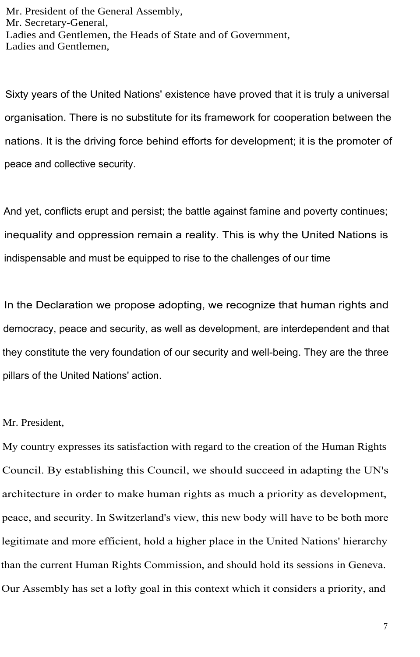Mr. President of the General Assembly, Mr. Secretary-General, Ladies and Gentlemen, the Heads of State and of Government, Ladies and Gentlemen,

Sixty years of the United Nations' existence have proved that it is truly a universal organisation. There is no substitute for its framework for cooperation between the nations. It is the driving force behind efforts for development; it is the promoter of peace and collective security.

And yet, conflicts erupt and persist; the battle against famine and poverty continues; inequality and oppression remain a reality. This is why the United Nations is indispensable and must be equipped to rise to the challenges of our time

In the Declaration we propose adopting, we recognize that human rights and democracy, peace and security, as well as development, are interdependent and that they constitute the very foundation of our security and well-being. They are the three pillars of the United Nations' action.

## Mr. President,

My country expresses its satisfaction with regard to the creation of the Human Rights Council. Ву establishing this Council, we should succeed in adapting the UN's architecture in order to make human rights as much a priority as development, peace, and security. In Switzerland's view, this new body will have to be both more legitimate and more efficient, hold a higher place in the United Nations' hierarchy than the current Human Rights Commission, and should hold its sessions in Geneva. Our Assembly has set a lofty goal in this context which it considers a priority, and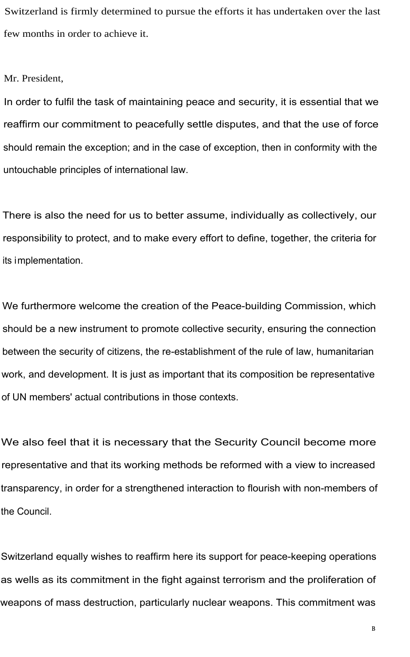Switzerland is firmly determined to pursue the efforts it has undertaken over the last few months in order to achieve it.

## Mr. President,

In order to fulfil the task of maintaining peace and security, it is essential that we reaffirm our commitment to peacefully settle disputes, and that the use of force should remain the exception; and in the case of exception, then in conformity with the untouchable principles of international law.

There is also the need for us to better assume, individually as collectively, our responsibility to protect, and to make every effort to define, together, the criteria for its implementation.

We furthermore welcome the creation of the Peace-building Commission, which should be a new instrument to promote collective security, ensuring the connection between the security of citizens, the re-establishment of the rule of law, humanitarian work, and development. It is just as important that its composition be representative of UN members' actual contributions in those contexts.

We also feel that it is necessary that the Security Council become more representative and that its working methods be reformed with a view to increased transparency, in order for a strengthened interaction to flourish with non-members of the Council.

Switzerland equally wishes to reaffirm here its support for peace-keeping operations as wells as its commitment in the fight against terrorism and the proliferation of weapons of mass destruction, particularly nuclear weapons. This commitment was

в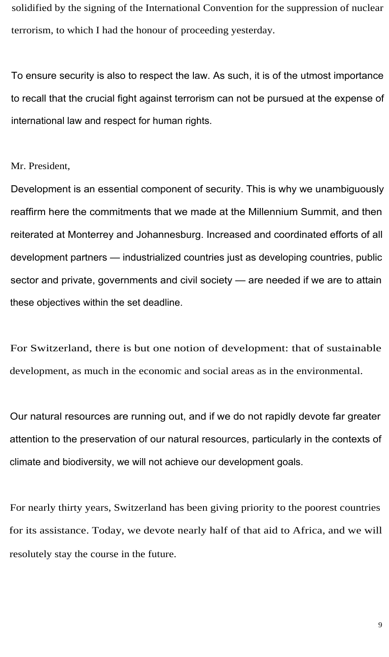solidified by the signing of the International Convention for the suppression of nuclear terrorism, to which I had the honour of proceeding yesterday.

To ensure security is also to respect the law. As such, it is of the utmost importance to recall that the crucial fight against terrorism can not be pursued at the expense of international law and respect for human rights.

Mr. President,

Development is an essential component of security. This is why we unambiguously reaffirm here the commitments that we made at the Millennium Summit, and then reiterated at Monterrey and Johannesburg. Increased and coordinated efforts of all development partners — industrialized countries just as developing countries, public sector and private, governments and civil society — are needed if we are to attain these objectives within the set deadline.

For Switzerland, there is but one notion of development: that of sustainable development, as much in the economic and social areas as in the environmental.

Our natural resources are running out, and if we do not rapidly devote far greater attention to the preservation of our natural resources, particularly in the contexts of climate and biodiversity, we will not achieve our development goals.

For nearly thirty years, Switzerland has been giving priority to the poorest countries for its assistance. Today, we devote nearly half of that aid to Africa, and we will resolutely stay the course in the future.

9